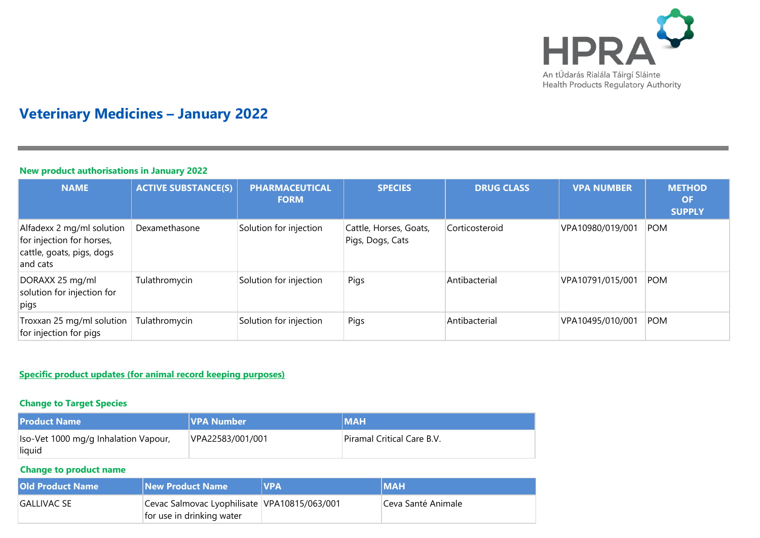

# **Veterinary Medicines – January 2022**

### **New product authorisations in January 2022**

| <b>NAME</b>                                                                                     | <b>ACTIVE SUBSTANCE(S)</b> | <b>PHARMACEUTICAL</b><br><b>FORM</b> | <b>SPECIES</b>                             | <b>DRUG CLASS</b> | <b>VPA NUMBER</b> | <b>METHOD</b><br><b>OF</b><br><b>SUPPLY</b> |
|-------------------------------------------------------------------------------------------------|----------------------------|--------------------------------------|--------------------------------------------|-------------------|-------------------|---------------------------------------------|
| Alfadexx 2 mg/ml solution<br>for injection for horses,<br>cattle, goats, pigs, dogs<br>and cats | Dexamethasone              | Solution for injection               | Cattle, Horses, Goats,<br>Pigs, Dogs, Cats | Corticosteroid    | VPA10980/019/001  | <b>POM</b>                                  |
| DORAXX 25 mg/ml<br>solution for injection for<br>pigs                                           | Tulathromycin              | Solution for injection               | Pigs                                       | Antibacterial     | VPA10791/015/001  | <b>POM</b>                                  |
| Troxxan 25 mg/ml solution<br>for injection for pigs                                             | Tulathromycin              | Solution for injection               | Pigs                                       | Antibacterial     | VPA10495/010/001  | <b>POM</b>                                  |

## **Specific product updates (for animal record keeping purposes)**

## **Change to Target Species**

| <b>Product Name</b>                            | <b>VPA Number</b> | <b>IMAH</b>                |
|------------------------------------------------|-------------------|----------------------------|
| Iso-Vet 1000 mg/g Inhalation Vapour,<br>liquid | VPA22583/001/001  | Piramal Critical Care B.V. |

#### **Change to product name**

| <b>Old Product Name</b> | <b>New Product Name</b>                                                   | <b>NVPA</b> | <b>IMAH</b>        |
|-------------------------|---------------------------------------------------------------------------|-------------|--------------------|
| IGALLIVAC SE            | Cevac Salmovac Lyophilisate VPA10815/063/001<br>for use in drinking water |             | Ceva Santé Animale |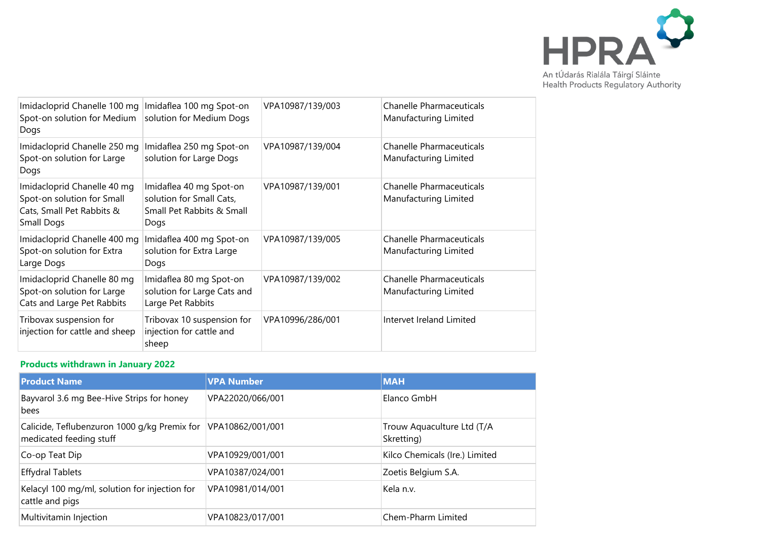

Imidacloprid Chanelle 100 mg Imidaflea 100 mg Spot-on Spot-on solution for Medium solution for Medium Dogs Dogs VPA10987/139/003 Chanelle Pharmaceuticals Manufacturing Limited Imidacloprid Chanelle 250 mg Imidaflea 250 mg Spot-on Spot-on solution for Large Dogs solution for Large Dogs VPA10987/139/004 Chanelle Pharmaceuticals Manufacturing Limited Imidacloprid Chanelle 40 mg Spot-on solution for Small Cats, Small Pet Rabbits & Small Dogs Imidaflea 40 mg Spot-on solution for Small Cats, Small Pet Rabbits & Small Dogs VPA10987/139/001 Chanelle Pharmaceuticals Manufacturing Limited Imidacloprid Chanelle 400 mg Spot-on solution for Extra Large Dogs Imidaflea 400 mg Spot-on solution for Extra Large Dogs VPA10987/139/005 Chanelle Pharmaceuticals Manufacturing Limited Imidacloprid Chanelle 80 mg Spot-on solution for Large Cats and Large Pet Rabbits Imidaflea 80 mg Spot-on solution for Large Cats and Large Pet Rabbits VPA10987/139/002 Chanelle Pharmaceuticals Manufacturing Limited Tribovax suspension for injection for cattle and sheep Tribovax 10 suspension for injection for cattle and sheep VPA10996/286/001 Intervet Ireland Limited

#### **Products withdrawn in January 2022**

| <b>Product Name</b>                                                     | <b>VPA Number</b> | <b>MAH</b>                               |
|-------------------------------------------------------------------------|-------------------|------------------------------------------|
| Bayvarol 3.6 mg Bee-Hive Strips for honey<br>bees                       | VPA22020/066/001  | Elanco GmbH                              |
| Calicide, Teflubenzuron 1000 g/kg Premix for<br>medicated feeding stuff | VPA10862/001/001  | Trouw Aquaculture Ltd (T/A<br>Skretting) |
| Co-op Teat Dip                                                          | VPA10929/001/001  | Kilco Chemicals (Ire.) Limited           |
| <b>Effydral Tablets</b>                                                 | VPA10387/024/001  | Zoetis Belgium S.A.                      |
| Kelacyl 100 mg/ml, solution for injection for<br>cattle and pigs        | VPA10981/014/001  | Kela n.v.                                |
| Multivitamin Injection                                                  | VPA10823/017/001  | Chem-Pharm Limited                       |